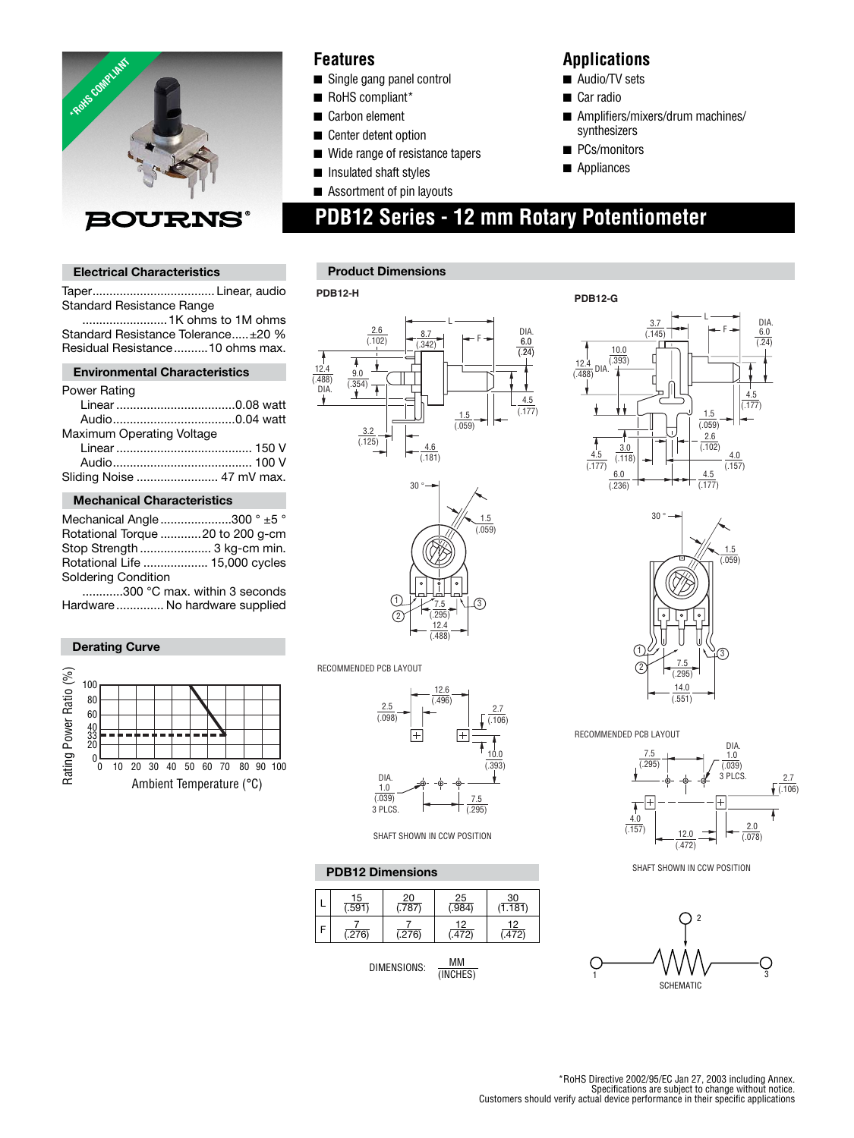

### **Features**

- Single gang panel control
- RoHS compliant\*
- Carbon element
- Center detent option
- Wide range of resistance tapers
- Insulated shaft styles
- Assortment of pin layouts

### **Applications**

- Audio/TV sets
- Car radio
- Amplifiers/mixers/drum machines/ synthesizers
- PCs/monitors
- Appliances

 **PDB12 Series - 12 mm Rotary Potentiometer**

# *BOURNS*

#### **Electrical Characteristics**

Taper .................................... Linear, audio Standard Resistance Range .........................1K ohms to 1M ohms Standard Resistance Tolerance .....±20 %

Residual Resistance ..........10 ohms max.

#### **Environmental Characteristics**

| Sliding Noise  47 mV max. |
|---------------------------|
|                           |

#### **Mechanical Characteristics**

| Mechanical Angle 300 $^{\circ}$ $\pm$ 5 $^{\circ}$ |  |
|----------------------------------------------------|--|
| Rotational Torque 20 to 200 g-cm                   |  |
| Stop Strength  3 kg-cm min.                        |  |
| Rotational Life  15,000 cycles                     |  |
| Soldering Condition                                |  |

 ............300 °C max. within 3 seconds Hardware .............. No hardware supplied

#### **Derating Curve**



#### **Product Dimensions**

#### **PDB12-H**





RECOMMENDED PCB LAYOUT



SHAFT SHOWN IN CCW POSITION

**PDB12 Dimensions PDB12 Dimensions** 

| _15<br>591) | $\frac{20}{1787}$ | 25<br>(984). | __30<br>(1.181) |
|-------------|-------------------|--------------|-----------------|
| 276         | (276)             | 12<br>.472)  | 12<br>(472)     |

$$
DIMENSIONS: \quad \frac{MM}{(INCHES)}
$$





RECOMMENDED PCB LAYOUT